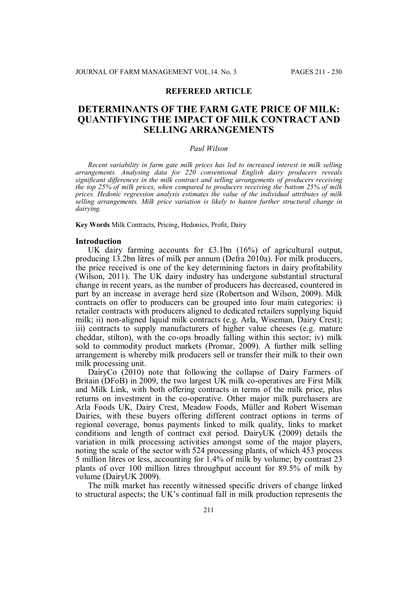## **REFEREED ARTICLE**

# **DETERMINANTS OF THE FARM GATE PRICE OF MILK: QUANTIFYING THE IMPACT OF MILK CONTRACT AND SELLING ARRANGEMENTS**

#### *Paul Wilson*

*Recent variability in farm gate milk prices has led to increased interest in milk selling arrangements. Analysing data for 220 conventional English dairy producers reveals significant differences in the milk contract and selling arrangements of producers receiving the top 25% of milk prices, when compared to producers receiving the bottom 25% of milk prices. Hedonic regression analysis estimates the value of the individual attributes of milk selling arrangements. Milk price variation is likely to hasten further structural change in dairying.*

**Key Words** Milk Contracts, Pricing, Hedonics, Profit, Dairy

#### **Introduction**

UK dairy farming accounts for £3.1bn (16%) of agricultural output, producing 13.2bn litres of milk per annum (Defra 2010a). For milk producers, the price received is one of the key determining factors in dairy profitability (Wilson, 2011). The UK dairy industry has undergone substantial structural change in recent years, as the number of producers has decreased, countered in part by an increase in average herd size (Robertson and Wilson, 2009). Milk contracts on offer to producers can be grouped into four main categories: i) retailer contracts with producers aligned to dedicated retailers supplying liquid milk; ii) non-aligned liquid milk contracts (e.g. Arla, Wiseman, Dairy Crest); iii) contracts to supply manufacturers of higher value cheeses (e.g. mature cheddar, stilton), with the co-ops broadly falling within this sector; iv) milk sold to commodity product markets (Promar, 2009). A further milk selling arrangement is whereby milk producers sell or transfer their milk to their own milk processing unit.

DairyCo (2010) note that following the collapse of Dairy Farmers of Britain (DFoB) in 2009, the two largest UK milk co-operatives are First Milk and Milk Link, with both offering contracts in terms of the milk price, plus returns on investment in the co-operative. Other major milk purchasers are Arla Foods UK, Dairy Crest, Meadow Foods, Müller and Robert Wiseman Dairies, with these buyers offering different contract options in terms of regional coverage, bonus payments linked to milk quality, links to market conditions and length of contract exit period. DairyUK (2009) details the variation in milk processing activities amongst some of the major players, noting the scale of the sector with 524 processing plants, of which 453 process 5 million litres or less, accounting for 1.4% of milk by volume; by contrast 23 plants of over 100 million litres throughput account for 89.5% of milk by volume (DairyUK 2009).

The milk market has recently witnessed specific drivers of change linked to structural aspects; the UK's continual fall in milk production represents the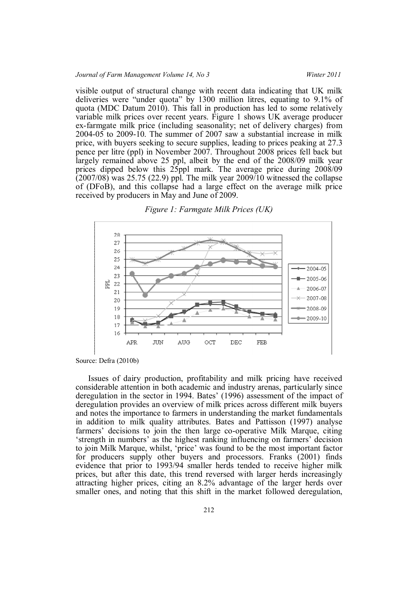visible output of structural change with recent data indicating that UK milk deliveries were "under quota" by 1300 million litres, equating to 9.1% of quota (MDC Datum 2010). This fall in production has led to some relatively variable milk prices over recent years. Figure 1 shows UK average producer ex-farmgate milk price (including seasonality; net of delivery charges) from 2004-05 to 2009-10. The summer of 2007 saw a substantial increase in milk price, with buyers seeking to secure supplies, leading to prices peaking at 27.3 pence per litre (ppl) in November 2007. Throughout 2008 prices fell back but largely remained above 25 ppl, albeit by the end of the 2008/09 milk year prices dipped below this 25ppl mark. The average price during 2008/09 (2007/08) was 25.75 (22.9) ppl. The milk year 2009/10 witnessed the collapse of (DFoB), and this collapse had a large effect on the average milk price received by producers in May and June of 2009.





Source: Defra (2010b)

Issues of dairy production, profitability and milk pricing have received considerable attention in both academic and industry arenas, particularly since deregulation in the sector in 1994. Bates' (1996) assessment of the impact of deregulation provides an overview of milk prices across different milk buyers and notes the importance to farmers in understanding the market fundamentals in addition to milk quality attributes. Bates and Pattisson (1997) analyse farmers' decisions to join the then large co-operative Milk Marque, citing 'strength in numbers' as the highest ranking influencing on farmers' decision to join Milk Marque, whilst, 'price' was found to be the most important factor for producers supply other buyers and processors. Franks (2001) finds evidence that prior to 1993/94 smaller herds tended to receive higher milk prices, but after this date, this trend reversed with larger herds increasingly attracting higher prices, citing an 8.2% advantage of the larger herds over smaller ones, and noting that this shift in the market followed deregulation,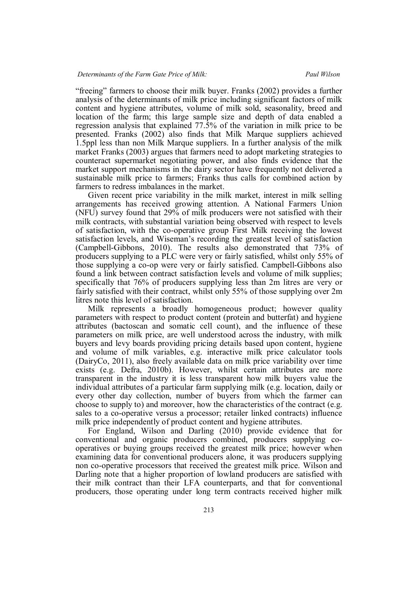"freeing" farmers to choose their milk buyer. Franks (2002) provides a further analysis of the determinants of milk price including significant factors of milk content and hygiene attributes, volume of milk sold, seasonality, breed and location of the farm; this large sample size and depth of data enabled a regression analysis that explained 77.5% of the variation in milk price to be presented. Franks (2002) also finds that Milk Marque suppliers achieved 1.5ppl less than non Milk Marque suppliers. In a further analysis of the milk market Franks (2003) argues that farmers need to adopt marketing strategies to counteract supermarket negotiating power, and also finds evidence that the market support mechanisms in the dairy sector have frequently not delivered a sustainable milk price to farmers; Franks thus calls for combined action by farmers to redress imbalances in the market.

Given recent price variability in the milk market, interest in milk selling arrangements has received growing attention. A National Farmers Union (NFU) survey found that 29% of milk producers were not satisfied with their milk contracts, with substantial variation being observed with respect to levels of satisfaction, with the co-operative group First Milk receiving the lowest satisfaction levels, and Wiseman's recording the greatest level of satisfaction (Campbell-Gibbons, 2010). The results also demonstrated that 73% of producers supplying to a PLC were very or fairly satisfied, whilst only 55% of those supplying a co-op were very or fairly satisfied. Campbell-Gibbons also found a link between contract satisfaction levels and volume of milk supplies; specifically that 76% of producers supplying less than 2m litres are very or fairly satisfied with their contract, whilst only 55% of those supplying over 2m litres note this level of satisfaction.

Milk represents a broadly homogeneous product; however quality parameters with respect to product content (protein and butterfat) and hygiene attributes (bactoscan and somatic cell count), and the influence of these parameters on milk price, are well understood across the industry, with milk buyers and levy boards providing pricing details based upon content, hygiene and volume of milk variables, e.g. interactive milk price calculator tools (DairyCo, 2011), also freely available data on milk price variability over time exists (e.g. Defra, 2010b). However, whilst certain attributes are more transparent in the industry it is less transparent how milk buyers value the individual attributes of a particular farm supplying milk (e.g. location, daily or every other day collection, number of buyers from which the farmer can choose to supply to) and moreover, how the characteristics of the contract (e.g. sales to a co-operative versus a processor; retailer linked contracts) influence milk price independently of product content and hygiene attributes.

For England, Wilson and Darling (2010) provide evidence that for conventional and organic producers combined, producers supplying cooperatives or buying groups received the greatest milk price; however when examining data for conventional producers alone, it was producers supplying non co-operative processors that received the greatest milk price. Wilson and Darling note that a higher proportion of lowland producers are satisfied with their milk contract than their LFA counterparts, and that for conventional producers, those operating under long term contracts received higher milk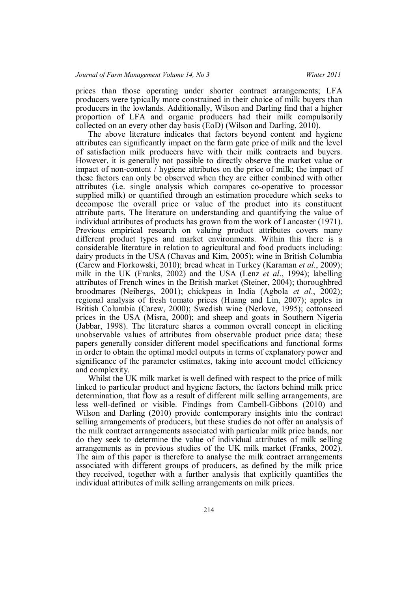prices than those operating under shorter contract arrangements; LFA producers were typically more constrained in their choice of milk buyers than producers in the lowlands. Additionally, Wilson and Darling find that a higher proportion of LFA and organic producers had their milk compulsorily collected on an every other day basis (EoD) (Wilson and Darling, 2010).

The above literature indicates that factors beyond content and hygiene attributes can significantly impact on the farm gate price of milk and the level of satisfaction milk producers have with their milk contracts and buyers. However, it is generally not possible to directly observe the market value or impact of non-content / hygiene attributes on the price of milk; the impact of these factors can only be observed when they are either combined with other attributes (i.e. single analysis which compares co-operative to processor supplied milk) or quantified through an estimation procedure which seeks to decompose the overall price or value of the product into its constituent attribute parts. The literature on understanding and quantifying the value of individual attributes of products has grown from the work of Lancaster (1971). Previous empirical research on valuing product attributes covers many different product types and market environments. Within this there is a considerable literature in relation to agricultural and food products including: dairy products in the USA (Chavas and Kim, 2005); wine in British Columbia (Carew and Florkowski, 2010); bread wheat in Turkey (Karaman *et al.*, 2009); milk in the UK (Franks, 2002) and the USA (Lenz *et al*., 1994); labelling attributes of French wines in the British market (Steiner, 2004); thoroughbred broodmares (Neibergs, 2001); chickpeas in India (Agbola *et al*., 2002); regional analysis of fresh tomato prices (Huang and Lin, 2007); apples in British Columbia (Carew, 2000); Swedish wine (Nerlove, 1995); cottonseed prices in the USA (Misra, 2000); and sheep and goats in Southern Nigeria (Jabbar, 1998). The literature shares a common overall concept in eliciting unobservable values of attributes from observable product price data; these papers generally consider different model specifications and functional forms in order to obtain the optimal model outputs in terms of explanatory power and significance of the parameter estimates, taking into account model efficiency and complexity.

Whilst the UK milk market is well defined with respect to the price of milk linked to particular product and hygiene factors, the factors behind milk price determination, that flow as a result of different milk selling arrangements, are less well-defined or visible. Findings from Cambell-Gibbons (2010) and Wilson and Darling (2010) provide contemporary insights into the contract selling arrangements of producers, but these studies do not offer an analysis of the milk contract arrangements associated with particular milk price bands, nor do they seek to determine the value of individual attributes of milk selling arrangements as in previous studies of the UK milk market (Franks, 2002). The aim of this paper is therefore to analyse the milk contract arrangements associated with different groups of producers, as defined by the milk price they received, together with a further analysis that explicitly quantifies the individual attributes of milk selling arrangements on milk prices.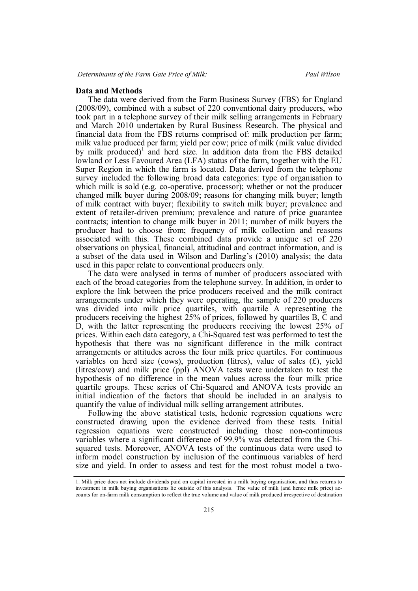### **Data and Methods**

The data were derived from the Farm Business Survey (FBS) for England (2008/09), combined with a subset of 220 conventional dairy producers, who took part in a telephone survey of their milk selling arrangements in February and March 2010 undertaken by Rural Business Research. The physical and financial data from the FBS returns comprised of: milk production per farm; milk value produced per farm; yield per cow; price of milk (milk value divided by milk produced)<sup>1</sup> and herd size. In addition data from the FBS detailed lowland or Less Favoured Area (LFA) status of the farm, together with the EU Super Region in which the farm is located. Data derived from the telephone survey included the following broad data categories: type of organisation to which milk is sold (e.g. co-operative, processor); whether or not the producer changed milk buyer during 2008/09; reasons for changing milk buyer; length of milk contract with buyer; flexibility to switch milk buyer; prevalence and extent of retailer-driven premium; prevalence and nature of price guarantee contracts; intention to change milk buyer in 2011; number of milk buyers the producer had to choose from; frequency of milk collection and reasons associated with this. These combined data provide a unique set of 220 observations on physical, financial, attitudinal and contract information, and is a subset of the data used in Wilson and Darling's (2010) analysis; the data used in this paper relate to conventional producers only.

The data were analysed in terms of number of producers associated with each of the broad categories from the telephone survey. In addition, in order to explore the link between the price producers received and the milk contract arrangements under which they were operating, the sample of 220 producers was divided into milk price quartiles, with quartile A representing the producers receiving the highest 25% of prices, followed by quartiles B, C and D, with the latter representing the producers receiving the lowest 25% of prices. Within each data category, a Chi-Squared test was performed to test the hypothesis that there was no significant difference in the milk contract arrangements or attitudes across the four milk price quartiles. For continuous variables on herd size (cows), production (litres), value of sales  $(f)$ , yield (litres/cow) and milk price (ppl) ANOVA tests were undertaken to test the hypothesis of no difference in the mean values across the four milk price quartile groups. These series of Chi-Squared and ANOVA tests provide an initial indication of the factors that should be included in an analysis to quantify the value of individual milk selling arrangement attributes.

Following the above statistical tests, hedonic regression equations were constructed drawing upon the evidence derived from these tests. Initial regression equations were constructed including those non-continuous variables where a significant difference of 99.9% was detected from the Chisquared tests. Moreover, ANOVA tests of the continuous data were used to inform model construction by inclusion of the continuous variables of herd size and yield. In order to assess and test for the most robust model a two-

<sup>1.</sup> Milk price does not include dividends paid on capital invested in a milk buying organisation, and thus returns to investment in milk buying organisations lie outside of this analysis. The value of milk (and hence milk price) accounts for on-farm milk consumption to reflect the true volume and value of milk produced irrespective of destination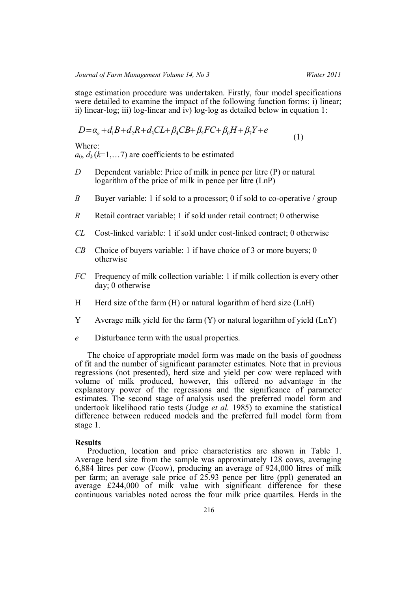stage estimation procedure was undertaken. Firstly, four model specifications were detailed to examine the impact of the following function forms: i) linear; ii) linear-log; iii) log-linear and iv) log-log as detailed below in equation 1:

$$
D = \alpha_o + d_1 B + d_2 R + d_3 CL + \beta_4 CB + \beta_5 FC + \beta_6 H + \beta_7 Y + e \tag{1}
$$

Where:

 $a_0, d_k(k=1,...7)$  are coefficients to be estimated

- *D* Dependent variable: Price of milk in pence per litre (P) or natural logarithm of the price of milk in pence per litre (LnP)
- *B* Buyer variable: 1 if sold to a processor; 0 if sold to co-operative / group
- *R* Retail contract variable; 1 if sold under retail contract; 0 otherwise
- *CL* Cost-linked variable: 1 if sold under cost-linked contract; 0 otherwise
- *CB* Choice of buyers variable: 1 if have choice of 3 or more buyers; 0 otherwise
- *FC* Frequency of milk collection variable: 1 if milk collection is every other day; 0 otherwise
- H Herd size of the farm  $(H)$  or natural logarithm of herd size  $(LnH)$
- Y Average milk yield for the farm (Y) or natural logarithm of yield (LnY)
- *e* Disturbance term with the usual properties.

The choice of appropriate model form was made on the basis of goodness of fit and the number of significant parameter estimates. Note that in previous regressions (not presented), herd size and yield per cow were replaced with volume of milk produced, however, this offered no advantage in the explanatory power of the regressions and the significance of parameter estimates. The second stage of analysis used the preferred model form and undertook likelihood ratio tests (Judge *et al.* 1985) to examine the statistical difference between reduced models and the preferred full model form from stage 1.

# **Results**

Production, location and price characteristics are shown in Table 1. Average herd size from the sample was approximately 128 cows, averaging 6,884 litres per cow (l/cow), producing an average of 924,000 litres of milk per farm; an average sale price of 25.93 pence per litre (ppl) generated an average £244,000 of milk value with significant difference for these continuous variables noted across the four milk price quartiles. Herds in the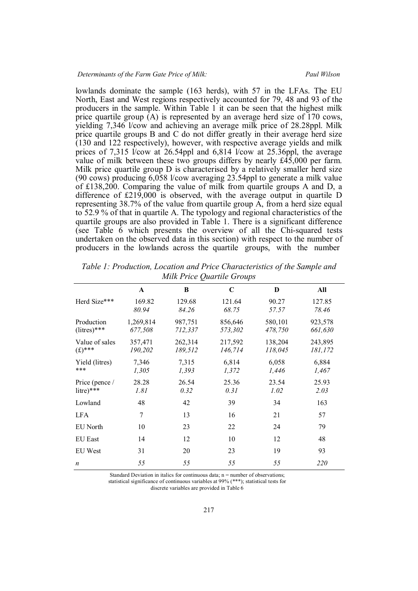lowlands dominate the sample (163 herds), with 57 in the LFAs. The EU North, East and West regions respectively accounted for 79, 48 and 93 of the producers in the sample. Within Table 1 it can be seen that the highest milk price quartile group  $(A)$  is represented by an average herd size of 170 cows, yielding 7,346 l/cow and achieving an average milk price of 28.28ppl. Milk price quartile groups B and C do not differ greatly in their average herd size (130 and 122 respectively), however, with respective average yields and milk prices of 7,315  $\dot{V}$ cow at 26.54ppl and 6,814  $\dot{V}$ cow at 25.36ppl, the average value of milk between these two groups differs by nearly £45,000 per farm. Milk price quartile group D is characterised by a relatively smaller herd size (90 cows) producing 6,058 l/cow averaging 23.54ppl to generate a milk value of £138,200. Comparing the value of milk from quartile groups A and D, a difference of £219,000 is observed, with the average output in quartile D representing 38.7% of the value from quartile group A, from a herd size equal to 52.9 % of that in quartile A. The typology and regional characteristics of the quartile groups are also provided in Table 1. There is a significant difference (see Table 6 which presents the overview of all the Chi-squared tests undertaken on the observed data in this section) with respect to the number of producers in the lowlands across the quartile groups, with the number

|                              |                      | ~                  |                    |                    |                    |
|------------------------------|----------------------|--------------------|--------------------|--------------------|--------------------|
|                              | $\mathbf{A}$         | B                  | $\mathbf C$        | D                  | All                |
| Herd Size***                 | 169.82<br>80.94      | 129.68<br>84.26    | 121.64<br>68.75    | 90.27<br>57.57     | 127.85<br>78.46    |
| Production<br>$(litres)$ *** | 1,269,814<br>677,508 | 987,751<br>712,337 | 856,646<br>573,302 | 580,101<br>478,750 | 923,578<br>661,630 |
| Value of sales<br>$(f)$ ***  | 357,471<br>190,202   | 262,314<br>189,512 | 217,592<br>146,714 | 138,204<br>118,045 | 243,895<br>181,172 |
| Yield (litres)<br>***        | 7,346<br>1,305       | 7,315<br>1,393     | 6,814<br>1,372     | 6,058<br>1,446     | 6,884<br>1,467     |
| Price (pence /<br>litre)***  | 28.28<br>1.81        | 26.54<br>0.32      | 25.36<br>0.31      | 23.54<br>1.02      | 25.93<br>2.03      |
| Lowland                      | 48                   | 42                 | 39                 | 34                 | 163                |
| <b>LFA</b>                   | 7                    | 13                 | 16                 | 21                 | 57                 |
| EU North                     | 10                   | 23                 | 22                 | 24                 | 79                 |
| <b>EU East</b>               | 14                   | 12                 | 10                 | 12                 | 48                 |
| EU West                      | 31                   | 20                 | 23                 | 19                 | 93                 |
| $\boldsymbol{n}$             | 55                   | 55                 | 55                 | 55                 | 220                |

*Table 1: Production, Location and Price Characteristics of the Sample and Milk Price Quartile Groups*

Standard Deviation in italics for continuous data;  $n =$  number of observations;

statistical significance of continuous variables at 99% (\*\*\*); statistical tests for

discrete variables are provided in Table 6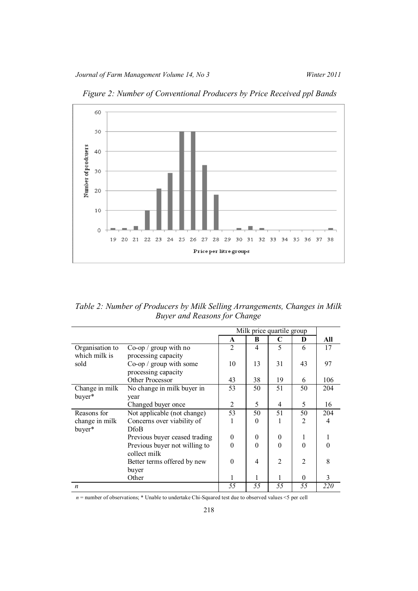

*Figure 2: Number of Conventional Producers by Price Received ppl Bands*

*Table 2: Number of Producers by Milk Selling Arrangements, Changes in Milk Buyer and Reasons for Change*

|                  |                               | Milk price quartile group |                |                |                |     |
|------------------|-------------------------------|---------------------------|----------------|----------------|----------------|-----|
|                  |                               | A                         | B              | C              | D              | All |
| Organisation to  | $Co$ -op / group with no      | $\overline{2}$            | $\overline{4}$ | 5              | 6              | 17  |
| which milk is    | processing capacity           |                           |                |                |                |     |
| sold             | $Co$ -op / group with some    | 10                        | 13             | 31             | 43             | 97  |
|                  | processing capacity           |                           |                |                |                |     |
|                  | Other Processor               | 43                        | 38             | 19             | 6              | 106 |
| Change in milk   | No change in milk buyer in    | 53                        | 50             | 51             | 50             | 204 |
| buyer*           | year                          |                           |                |                |                |     |
|                  | Changed buyer once            | 2                         | 5              | 4              | 5              | 16  |
| Reasons for      | Not applicable (not change)   | 53                        | 50             | 51             | 50             | 204 |
| change in milk   | Concerns over viability of    |                           | $\Omega$       | 1              | 2              | 4   |
| buyer*           | <b>DfoB</b>                   |                           |                |                |                |     |
|                  | Previous buyer ceased trading | $\theta$                  | $\theta$       | $\overline{0}$ | 1              |     |
|                  | Previous buyer not willing to | $\Omega$                  | $\Omega$       | $\Omega$       | $\Omega$       |     |
|                  | collect milk                  |                           |                |                |                |     |
|                  | Better terms offered by new   | $\theta$                  | 4              | 2              | $\overline{2}$ | 8   |
|                  | buyer                         |                           |                |                |                |     |
|                  | Other                         |                           |                |                | $\Omega$       | 3   |
| $\boldsymbol{n}$ |                               | 55                        | 55             | 55             | 55             | 220 |

*n* = number of observations; \* Unable to undertake Chi-Squared test due to observed values <5 per cell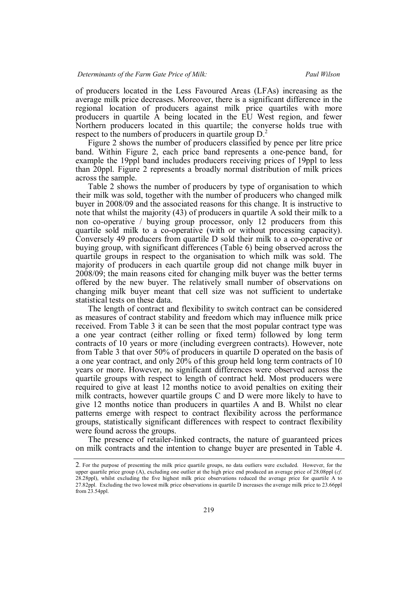of producers located in the Less Favoured Areas (LFAs) increasing as the average milk price decreases. Moreover, there is a significant difference in the regional location of producers against milk price quartiles with more producers in quartile A being located in the EU West region, and fewer Northern producers located in this quartile; the converse holds true with respect to the numbers of producers in quartile group  $D<sup>2</sup>$ .

Figure 2 shows the number of producers classified by pence per litre price band. Within Figure 2, each price band represents a one-pence band, for example the 19ppl band includes producers receiving prices of 19ppl to less than 20ppl. Figure 2 represents a broadly normal distribution of milk prices across the sample.

Table 2 shows the number of producers by type of organisation to which their milk was sold, together with the number of producers who changed milk buyer in 2008/09 and the associated reasons for this change. It is instructive to note that whilst the majority (43) of producers in quartile A sold their milk to a non co-operative / buying group processor, only 12 producers from this quartile sold milk to a co-operative (with or without processing capacity). Conversely 49 producers from quartile D sold their milk to a co-operative or buying group, with significant differences (Table 6) being observed across the quartile groups in respect to the organisation to which milk was sold. The majority of producers in each quartile group did not change milk buyer in 2008/09; the main reasons cited for changing milk buyer was the better terms offered by the new buyer. The relatively small number of observations on changing milk buyer meant that cell size was not sufficient to undertake statistical tests on these data.

The length of contract and flexibility to switch contract can be considered as measures of contract stability and freedom which may influence milk price received. From Table 3 it can be seen that the most popular contract type was a one year contract (either rolling or fixed term) followed by long term contracts of 10 years or more (including evergreen contracts). However, note from Table 3 that over 50% of producers in quartile D operated on the basis of a one year contract, and only 20% of this group held long term contracts of 10 years or more. However, no significant differences were observed across the quartile groups with respect to length of contract held. Most producers were required to give at least 12 months notice to avoid penalties on exiting their milk contracts, however quartile groups C and D were more likely to have to give 12 months notice than producers in quartiles A and B. Whilst no clear patterns emerge with respect to contract flexibility across the performance groups, statistically significant differences with respect to contract flexibility were found across the groups.

The presence of retailer-linked contracts, the nature of guaranteed prices on milk contracts and the intention to change buyer are presented in Table 4.

<sup>2</sup>. For the purpose of presenting the milk price quartile groups, no data outliers were excluded. However, for the upper quartile price group (A), excluding one outlier at the high price end produced an average price of 28.08ppl (*cf*. 28.28ppl), whilst excluding the five highest milk price observations reduced the average price for quartile A to 27.82ppl. Excluding the two lowest milk price observations in quartile D increases the average milk price to 23.66ppl from 23.54ppl.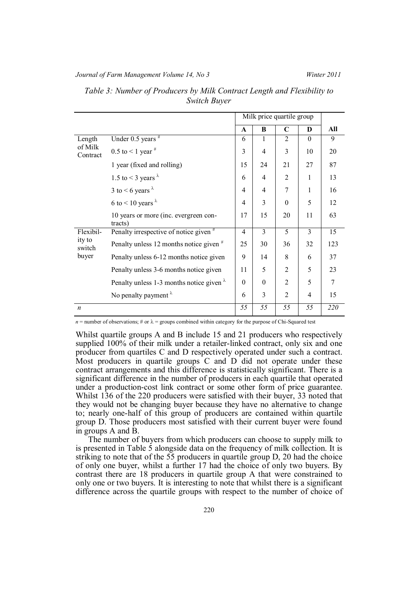### *Journal of Farm Management Volume 14, No 3 Winter 2011*

|                     |                                                  | Milk price quartile group |                |                |          |     |
|---------------------|--------------------------------------------------|---------------------------|----------------|----------------|----------|-----|
|                     |                                                  | A                         | B              | $\mathbf C$    | D        | All |
| Length              | Under $0.5$ years $*$                            | 6                         | 1              | $\overline{2}$ | $\Omega$ | 9   |
| of Milk<br>Contract | 0.5 to < 1 year $*$                              | 3                         | $\overline{4}$ | 3              | 10       | 20  |
|                     | 1 year (fixed and rolling)                       | 15                        | 24             | 21             | 27       | 87  |
|                     | 1.5 to < 3 years $\lambda$                       | 6                         | 4              | $\overline{2}$ |          | 13  |
|                     | 3 to <6 years $\lambda$                          | $\overline{4}$            | $\overline{4}$ | $\overline{7}$ | 1        | 16  |
|                     | 6 to < 10 years $\lambda$                        | $\overline{4}$            | 3              | $\theta$       | 5        | 12  |
|                     | 10 years or more (inc. evergreen con-<br>tracts) | 17                        | 15             | 20             | 11       | 63  |
| Flexibil-           | Penalty irrespective of notice given #           | $\overline{4}$            | 3              | 5              | 3        | 15  |
| ity to<br>switch    | Penalty unless 12 months notice given $*$        | 25                        | 30             | 36             | 32       | 123 |
| buyer               | Penalty unless 6-12 months notice given          | 9                         | 14             | 8              | 6        | 37  |
|                     | Penalty unless 3-6 months notice given           | 11                        | 5              | $\mathfrak{D}$ | 5        | 23  |
|                     | Penalty unless 1-3 months notice given $\lambda$ | $\Omega$                  | $\theta$       | $\overline{2}$ | 5        | 7   |
|                     | No penalty payment $\lambda$                     | 6                         | 3              | $\overline{2}$ | 4        | 15  |
| $\boldsymbol{n}$    |                                                  | 55                        | 55             | 55             | 55       | 220 |

# *Table 3: Number of Producers by Milk Contract Length and Flexibility to Switch Buyer*

 $n =$  number of observations; # or  $\lambda =$  groups combined within category for the purpose of Chi-Squared test

Whilst quartile groups A and B include 15 and 21 producers who respectively supplied 100% of their milk under a retailer-linked contract, only six and one producer from quartiles C and D respectively operated under such a contract. Most producers in quartile groups C and D did not operate under these contract arrangements and this difference is statistically significant. There is a significant difference in the number of producers in each quartile that operated under a production-cost link contract or some other form of price guarantee. Whilst 136 of the 220 producers were satisfied with their buyer, 33 noted that they would not be changing buyer because they have no alternative to change to; nearly one-half of this group of producers are contained within quartile group D. Those producers most satisfied with their current buyer were found in groups A and B.

The number of buyers from which producers can choose to supply milk to is presented in Table 5 alongside data on the frequency of milk collection. It is striking to note that of the 55 producers in quartile group D, 20 had the choice of only one buyer, whilst a further 17 had the choice of only two buyers. By contrast there are 18 producers in quartile group A that were constrained to only one or two buyers. It is interesting to note that whilst there is a significant difference across the quartile groups with respect to the number of choice of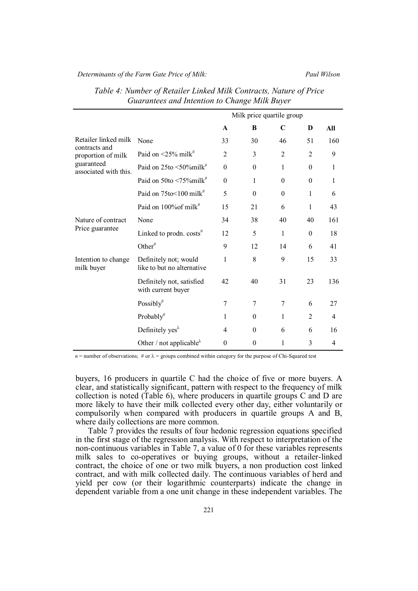*Determinants of the Farm Gate Price of Milk: Paul Wilson*

|                                     |                                                     | Milk price quartile group |                  |                |                |                |
|-------------------------------------|-----------------------------------------------------|---------------------------|------------------|----------------|----------------|----------------|
|                                     |                                                     | A                         | B                | $\mathbf C$    | D              | All            |
| Retailer linked milk                | None                                                | 33                        | 30               | 46             | 51             | 160            |
| contracts and<br>proportion of milk | Paid on $\leq$ 25% milk <sup>#</sup>                | $\overline{2}$            | 3                | $\overline{2}$ | $\overline{2}$ | 9              |
| guaranteed<br>associated with this. | Paid on 25to <50%milk <sup>#</sup>                  | $\theta$                  | $\theta$         | 1              | $\theta$       | 1              |
|                                     | Paid on $50$ to $\leq 75\%$ milk <sup>#</sup>       | $\theta$                  | 1                | $\theta$       | $\theta$       | 1              |
|                                     | Paid on $75$ to $\leq 100$ milk <sup>#</sup>        | 5                         | $\theta$         | $\theta$       | 1              | 6              |
|                                     | Paid on $100\%$ of milk <sup>#</sup>                | 15                        | 21               | 6              | 1              | 43             |
| Nature of contract                  | None                                                | 34                        | 38               | 40             | 40             | 161            |
| Price guarantee                     | Linked to prodn. $costs$ <sup>#</sup>               | 12                        | 5                | 1              | $\theta$       | 18             |
|                                     | Other <sup>#</sup>                                  | 9                         | 12               | 14             | 6              | 41             |
| Intention to change<br>milk buyer   | Definitely not; would<br>like to but no alternative | 1                         | 8                | 9              | 15             | 33             |
|                                     | Definitely not, satisfied<br>with current buyer     | 42                        | 40               | 31             | 23             | 136            |
|                                     | Possibly#                                           | 7                         | 7                | 7              | 6              | 27             |
|                                     | $Probability$ <sup>#</sup>                          | 1                         | $\theta$         | 1              | $\overline{2}$ | $\overline{4}$ |
|                                     | Definitely yes <sup><math>\lambda</math></sup>      | 4                         | $\theta$         | 6              | 6              | 16             |
|                                     | Other / not applicable $\lambda$                    | $\boldsymbol{0}$          | $\boldsymbol{0}$ | 1              | 3              | $\overline{4}$ |

| Table 4: Number of Retailer Linked Milk Contracts, Nature of Price |
|--------------------------------------------------------------------|
| Guarantees and Intention to Change Milk Buyer                      |

 $n =$  number of observations; # or  $\lambda =$  groups combined within category for the purpose of Chi-Squared test

buyers, 16 producers in quartile C had the choice of five or more buyers. A clear, and statistically significant, pattern with respect to the frequency of milk collection is noted (Table 6), where producers in quartile groups C and D are more likely to have their milk collected every other day, either voluntarily or compulsorily when compared with producers in quartile groups A and B, where daily collections are more common.

Table 7 provides the results of four hedonic regression equations specified in the first stage of the regression analysis. With respect to interpretation of the non-continuous variables in Table 7, a value of 0 for these variables represents milk sales to co-operatives or buying groups, without a retailer-linked contract, the choice of one or two milk buyers, a non production cost linked contract, and with milk collected daily. The continuous variables of herd and yield per cow (or their logarithmic counterparts) indicate the change in dependent variable from a one unit change in these independent variables. The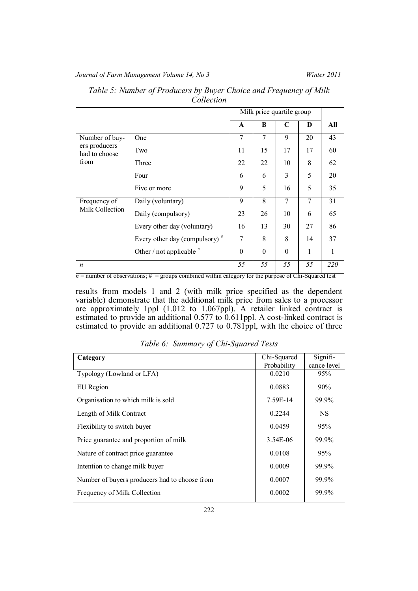# *Journal of Farm Management Volume 14, No 3 Winter 2011*

|                                |                                  | Milk price quartile group |          |          |                |     |
|--------------------------------|----------------------------------|---------------------------|----------|----------|----------------|-----|
|                                |                                  | A                         | B        | C        | D              | All |
| Number of buy-                 | One                              | 7                         | 7        | 9        | 20             | 43  |
| ers producers<br>had to choose | Two                              | 11                        | 15       | 17       | 17             | 60  |
| from                           | Three                            | 22                        | 22       | 10       | 8              | 62  |
|                                | Four                             | 6                         | 6        | 3        | 5              | 20  |
|                                | Five or more                     | 9                         | 5        | 16       | 5              | 35  |
| Frequency of                   | Daily (voluntary)                | 9<br>8                    |          | 7        | $\overline{7}$ | 31  |
| Milk Collection                | Daily (compulsory)               | 23                        | 26       | 10       | 6              | 65  |
|                                | Every other day (voluntary)      | 16                        | 13       | 30       | 27             | 86  |
|                                | Every other day (compulsory) $#$ | 7                         | 8        | 8        | 14             | 37  |
|                                | Other / not applicable $#$       | $\boldsymbol{0}$          | $\theta$ | $\theta$ | 1              | 1   |
| $\boldsymbol{n}$               |                                  | 55                        | 55       | 55       | 55             | 220 |

| Table 5: Number of Producers by Buyer Choice and Frequency of Milk |  |
|--------------------------------------------------------------------|--|
| Collection                                                         |  |

 $n =$  number of observations;  $\#$  = groups combined within category for the purpose of Chi-Squared test

results from models 1 and 2 (with milk price specified as the dependent variable) demonstrate that the additional milk price from sales to a processor are approximately 1ppl (1.012 to 1.067ppl). A retailer linked contract is estimated to provide an additional 0.577 to 0.611ppl. A cost-linked contract is estimated to provide an additional 0.727 to 0.781ppl, with the choice of three

| Table 6: Summary of Chi-Squared Tests |  |  |
|---------------------------------------|--|--|
|                                       |  |  |

| Category                                      | Chi-Squared | Signifi-    |  |
|-----------------------------------------------|-------------|-------------|--|
|                                               | Probability | cance level |  |
| Typology (Lowland or LFA)                     | 0.0210      | 95%         |  |
| EU Region                                     | 0.0883      | 90%         |  |
| Organisation to which milk is sold            | 7.59E-14    | 99.9%       |  |
| Length of Milk Contract                       | 0.2244      | <b>NS</b>   |  |
| Flexibility to switch buyer                   | 0.0459      | 95%         |  |
| Price guarantee and proportion of milk        | 3.54E-06    | 99.9%       |  |
| Nature of contract price guarantee            | 0.0108      | 95%         |  |
| Intention to change milk buyer                | 0.0009      | 99.9%       |  |
| Number of buyers producers had to choose from | 0.0007      | 99.9%       |  |
| Frequency of Milk Collection                  | 0.0002      | 99.9%       |  |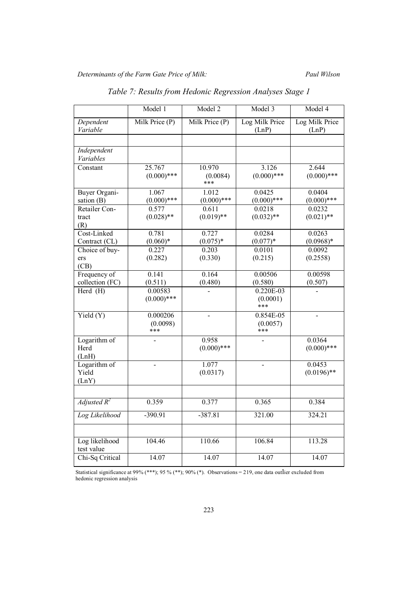|                                | Model 1                     | Model 2                   | Model 3                        | Model 4                 |
|--------------------------------|-----------------------------|---------------------------|--------------------------------|-------------------------|
| Dependent<br>Variable          | Milk Price (P)              | Milk Price (P)            | Log Milk Price<br>(LnP)        | Log Milk Price<br>(LnP) |
|                                |                             |                           |                                |                         |
| Independent<br>Variables       |                             |                           |                                |                         |
| Constant                       | 25.767<br>$(0.000)$ ***     | 10.970<br>(0.0084)<br>*** | 3.126<br>$(0.000)$ ***         | 2.644<br>$(0.000)$ ***  |
| <b>Buyer Organi-</b>           | 1.067                       | 1.012                     | 0.0425                         | 0.0404                  |
| sation (B)                     | $(0.000)$ ***               | $(0.000)$ ***             | $(0.000)$ ***                  | $(0.000)$ ***           |
| Retailer Con-                  | 0.577                       | 0.611                     | 0.0218                         | 0.0232                  |
| tract<br>(R)                   | $(0.028)$ **                | $(0.019)$ **              | $(0.032)$ **                   | $(0.021)$ **            |
| Cost-Linked                    | 0.781                       | 0.727                     | 0.0284                         | 0.0263                  |
| Contract (CL)                  | $(0.060)*$                  | $(0.075)*$                | $(0.077)^*$                    | $(0.0968)*$             |
| Choice of buy-                 | 0.227                       | 0.203                     | 0.0101                         | 0.0092                  |
| ers                            | (0.282)                     | (0.330)                   | (0.215)                        | (0.2558)                |
| (CB)                           |                             |                           |                                |                         |
| Frequency of                   | 0.141                       | 0.164                     | 0.00506                        | 0.00598                 |
| collection (FC)                | (0.511)                     | (0.480)                   | (0.580)                        | (0.507)                 |
| Herd (H)                       | 0.00583<br>$(0.000)$ ***    |                           | $0.220E-03$<br>(0.0001)<br>*** |                         |
| Yield $(Y)$                    | 0.000206<br>(0.0098)<br>*** | $\blacksquare$            | $0.854E-05$<br>(0.0057)<br>*** | $\overline{a}$          |
| Logarithm of                   |                             | 0.958                     |                                | 0.0364                  |
| Herd<br>(LnH)                  |                             | $(0.000)$ ***             |                                | $(0.000)$ ***           |
| Logarithm of<br>Yield<br>(LnY) | $\overline{a}$              | 1.077<br>(0.0317)         | $\overline{a}$                 | 0.0453<br>$(0.0196)$ ** |
|                                |                             |                           |                                |                         |
| Adjusted $R^2$                 | 0.359                       | 0.377                     | 0.365                          | 0.384                   |
| Log Likelihood                 | $-390.91$                   | $-387.81$                 | 321.00                         | 324.21                  |
|                                |                             |                           |                                |                         |
| Log likelihood<br>test value   | 104.46                      | 110.66                    | 106.84                         | 113.28                  |
| Chi-Sq Critical                | 14.07                       | 14.07                     | 14.07                          | 14.07                   |

*Table 7: Results from Hedonic Regression Analyses Stage 1*

Statistical significance at 99% (\*\*\*); 95 % (\*\*); 90% (\*). Observations = 219, one data outlier excluded from hedonic regression analysis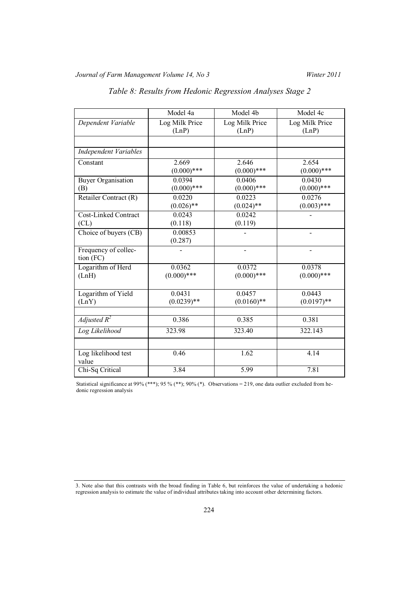|                                     | Model 4a       | Model 4b          | Model 4c       |
|-------------------------------------|----------------|-------------------|----------------|
| Dependent Variable                  | Log Milk Price | Log Milk Price    | Log Milk Price |
|                                     | (LnP)          | (LnP)             | (LnP)          |
|                                     |                |                   |                |
| <b>Independent Variables</b>        |                |                   |                |
| Constant                            | 2.669          | 2.646             | 2.654          |
|                                     | $(0.000)$ ***  | $(0.000)$ ***     | $(0.000)$ ***  |
| <b>Buyer Organisation</b>           | 0.0394         | 0.0406            | 0.0430         |
| (B)                                 | $(0.000)$ ***  | $(0.000)$ ***     | $(0.000)$ ***  |
| Retailer Contract (R)               | 0.0220         | 0.0223            | 0.0276         |
|                                     | $(0.026)$ **   | $(0.024)$ **      | $(0.003)$ ***  |
| Cost-Linked Contract                | 0.0243         | 0.0242            |                |
| CL)                                 | (0.118)        | (0.119)           |                |
| Choice of buyers (CB)               | 0.00853        |                   |                |
|                                     | (0.287)        |                   |                |
| Frequency of collec-                |                |                   |                |
| tion (FC)                           |                |                   |                |
| Logarithm of Herd                   | 0.0362         | 0.0372            | 0.0378         |
| (LnH)                               | $(0.000)$ ***  | $(0.000)$ ***     | $(0.000)$ ***  |
|                                     |                |                   |                |
| Logarithm of Yield                  | 0.0431         | 0.0457            | 0.0443         |
| (LnY)                               | $(0.0239)**$   | $(0.0160)$ **     | $(0.0197)$ **  |
| $\overline{A}$ <i>djusted</i> $R^2$ | 0.386          | 0.385             | 0.381          |
|                                     |                |                   |                |
| Log Likelihood                      | 323.98         | 323.40            | 322.143        |
|                                     |                |                   |                |
| Log likelihood test                 | 0.46           | 1.62              | 4.14           |
| value                               |                |                   |                |
| Chi-Sq Critical                     | 3.84           | $\overline{5.99}$ | 7.81           |

# *Table 8: Results from Hedonic Regression Analyses Stage 2*

Statistical significance at 99% (\*\*\*); 95 % (\*\*); 90% (\*). Observations = 219, one data outlier excluded from hedonic regression analysis

<sup>3.</sup> Note also that this contrasts with the broad finding in Table 6, but reinforces the value of undertaking a hedonic regression analysis to estimate the value of individual attributes taking into account other determining factors.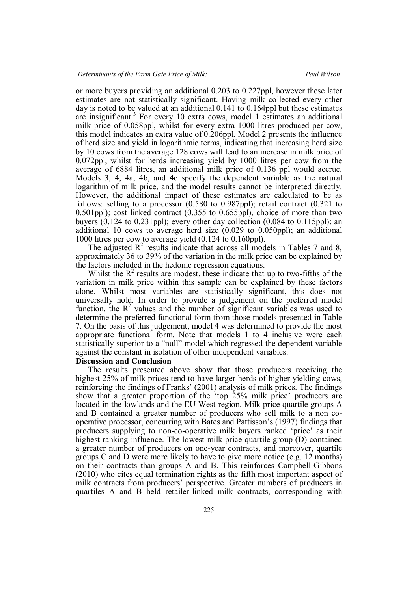or more buyers providing an additional 0.203 to 0.227ppl, however these later estimates are not statistically significant. Having milk collected every other day is noted to be valued at an additional 0.141 to 0.164ppl but these estimates are insignificant.<sup>3</sup> For every 10 extra cows, model 1 estimates an additional milk price of 0.058ppl, whilst for every extra 1000 litres produced per cow, this model indicates an extra value of 0.206ppl. Model 2 presents the influence of herd size and yield in logarithmic terms, indicating that increasing herd size by 10 cows from the average 128 cows will lead to an increase in milk price of 0.072ppl, whilst for herds increasing yield by 1000 litres per cow from the average of 6884 litres, an additional milk price of 0.136 ppl would accrue. Models 3, 4, 4a, 4b, and 4c specify the dependent variable as the natural logarithm of milk price, and the model results cannot be interpreted directly. However, the additional impact of these estimates are calculated to be as follows: selling to a processor (0.580 to 0.987ppl); retail contract (0.321 to 0.501ppl); cost linked contract (0.355 to 0.655ppl), choice of more than two buyers (0.124 to 0.231ppl); every other day collection (0.084 to 0.115ppl); an additional 10 cows to average herd size (0.029 to 0.050ppl); an additional 1000 litres per cow to average yield (0.124 to 0.160ppl).

The adjusted  $\mathbb{R}^2$  results indicate that across all models in Tables 7 and 8, approximately 36 to 39% of the variation in the milk price can be explained by the factors included in the hedonic regression equations.

Whilst the  $R^2$  results are modest, these indicate that up to two-fifths of the variation in milk price within this sample can be explained by these factors alone. Whilst most variables are statistically significant, this does not universally hold. In order to provide a judgement on the preferred model function, the  $R<sup>2</sup>$  values and the number of significant variables was used to determine the preferred functional form from those models presented in Table 7. On the basis of this judgement, model 4 was determined to provide the most appropriate functional form. Note that models 1 to 4 inclusive were each statistically superior to a "null" model which regressed the dependent variable against the constant in isolation of other independent variables.

### **Discussion and Conclusion**

The results presented above show that those producers receiving the highest 25% of milk prices tend to have larger herds of higher yielding cows, reinforcing the findings of Franks' (2001) analysis of milk prices. The findings show that a greater proportion of the 'top 25% milk price' producers are located in the lowlands and the EU West region. Milk price quartile groups A and B contained a greater number of producers who sell milk to a non cooperative processor, concurring with Bates and Pattisson's (1997) findings that producers supplying to non-co-operative milk buyers ranked 'price' as their highest ranking influence. The lowest milk price quartile group (D) contained a greater number of producers on one-year contracts, and moreover, quartile groups C and D were more likely to have to give more notice (e.g. 12 months) on their contracts than groups A and B. This reinforces Campbell-Gibbons (2010) who cites equal termination rights as the fifth most important aspect of milk contracts from producers' perspective. Greater numbers of producers in quartiles A and B held retailer-linked milk contracts, corresponding with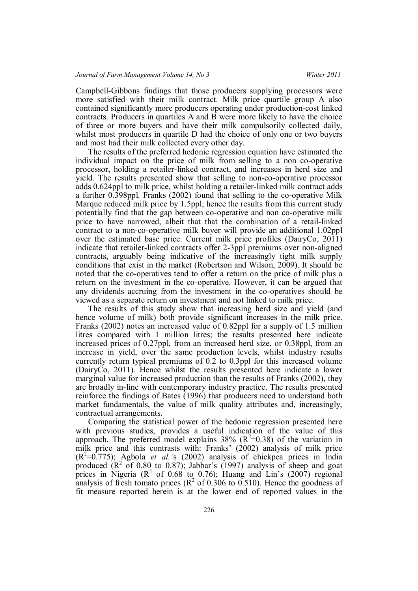Campbell-Gibbons findings that those producers supplying processors were more satisfied with their milk contract. Milk price quartile group A also contained significantly more producers operating under production-cost linked contracts. Producers in quartiles A and B were more likely to have the choice of three or more buyers and have their milk compulsorily collected daily, whilst most producers in quartile D had the choice of only one or two buyers and most had their milk collected every other day.

The results of the preferred hedonic regression equation have estimated the individual impact on the price of milk from selling to a non co-operative processor, holding a retailer-linked contract, and increases in herd size and yield. The results presented show that selling to non-co-operative processor adds 0.624ppl to milk price, whilst holding a retailer-linked milk contract adds a further 0.398ppl. Franks (2002) found that selling to the co-operative Milk Marque reduced milk price by 1.5ppl; hence the results from this current study potentially find that the gap between co-operative and non co-operative milk price to have narrowed, albeit that that the combination of a retail-linked contract to a non-co-operative milk buyer will provide an additional 1.02ppl over the estimated base price. Current milk price profiles (DairyCo, 2011) indicate that retailer-linked contracts offer 2-3ppl premiums over non-aligned contracts, arguably being indicative of the increasingly tight milk supply conditions that exist in the market (Robertson and Wilson, 2009). It should be noted that the co-operatives tend to offer a return on the price of milk plus a return on the investment in the co-operative. However, it can be argued that any dividends accruing from the investment in the co-operatives should be viewed as a separate return on investment and not linked to milk price.

The results of this study show that increasing herd size and yield (and hence volume of milk) both provide significant increases in the milk price. Franks (2002) notes an increased value of 0.82ppl for a supply of 1.5 million litres compared with 1 million litres; the results presented here indicate increased prices of 0.27ppl, from an increased herd size, or 0.38ppl, from an increase in yield, over the same production levels, whilst industry results currently return typical premiums of 0.2 to 0.3ppl for this increased volume (DairyCo, 2011). Hence whilst the results presented here indicate a lower marginal value for increased production than the results of Franks (2002), they are broadly in-line with contemporary industry practice. The results presented reinforce the findings of Bates (1996) that producers need to understand both market fundamentals, the value of milk quality attributes and, increasingly, contractual arrangements.

Comparing the statistical power of the hedonic regression presented here with previous studies, provides a useful indication of the value of this approach. The preferred model explains  $38\%$  ( $R^2=0.38$ ) of the variation in milk price and this contrasts with: Franks' (2002) analysis of milk price  $(R<sup>2</sup>=0.775)$ ; Agbola *et al.* 's (2002) analysis of chickpea prices in India produced  $(R^2 \text{ of } 0.80 \text{ to } 0.87)$ ; Jabbar's (1997) analysis of sheep and goat prices in Nigeria ( $\mathbb{R}^2$  of 0.68 to 0.76); Huang and Lin's (2007) regional analysis of fresh tomato prices ( $\mathbb{R}^2$  of 0.306 to 0.510). Hence the goodness of fit measure reported herein is at the lower end of reported values in the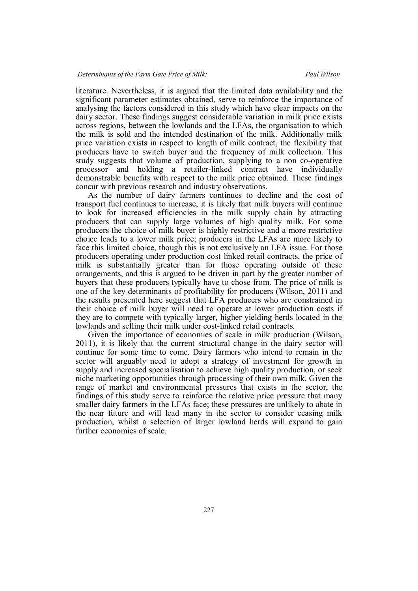literature. Nevertheless, it is argued that the limited data availability and the significant parameter estimates obtained, serve to reinforce the importance of analysing the factors considered in this study which have clear impacts on the dairy sector. These findings suggest considerable variation in milk price exists across regions, between the lowlands and the LFAs, the organisation to which the milk is sold and the intended destination of the milk. Additionally milk price variation exists in respect to length of milk contract, the flexibility that producers have to switch buyer and the frequency of milk collection. This study suggests that volume of production, supplying to a non co-operative processor and holding a retailer-linked contract have individually demonstrable benefits with respect to the milk price obtained. These findings concur with previous research and industry observations.

As the number of dairy farmers continues to decline and the cost of transport fuel continues to increase, it is likely that milk buyers will continue to look for increased efficiencies in the milk supply chain by attracting producers that can supply large volumes of high quality milk. For some producers the choice of milk buyer is highly restrictive and a more restrictive choice leads to a lower milk price; producers in the LFAs are more likely to face this limited choice, though this is not exclusively an LFA issue. For those producers operating under production cost linked retail contracts, the price of milk is substantially greater than for those operating outside of these arrangements, and this is argued to be driven in part by the greater number of buyers that these producers typically have to chose from. The price of milk is one of the key determinants of profitability for producers (Wilson, 2011) and the results presented here suggest that LFA producers who are constrained in their choice of milk buyer will need to operate at lower production costs if they are to compete with typically larger, higher yielding herds located in the lowlands and selling their milk under cost-linked retail contracts.

Given the importance of economies of scale in milk production (Wilson, 2011), it is likely that the current structural change in the dairy sector will continue for some time to come. Dairy farmers who intend to remain in the sector will arguably need to adopt a strategy of investment for growth in supply and increased specialisation to achieve high quality production, or seek niche marketing opportunities through processing of their own milk. Given the range of market and environmental pressures that exists in the sector, the findings of this study serve to reinforce the relative price pressure that many smaller dairy farmers in the LFAs face; these pressures are unlikely to abate in the near future and will lead many in the sector to consider ceasing milk production, whilst a selection of larger lowland herds will expand to gain further economies of scale.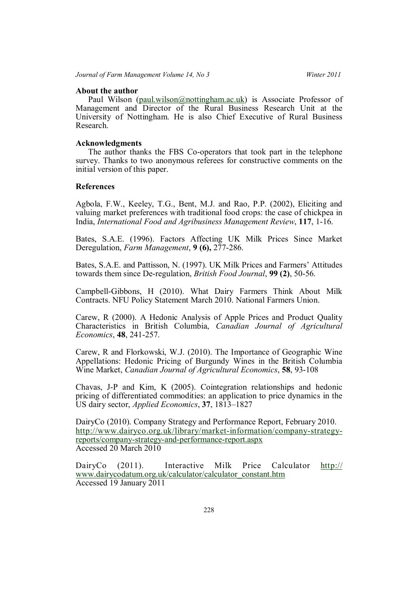# **About the author**

Paul Wilson (paul.wilson@nottingham.ac.uk) is Associate Professor of Management and Director of the Rural Business Research Unit at the University of Nottingham. He is also Chief Executive of Rural Business Research.

### **Acknowledgments**

The author thanks the FBS Co-operators that took part in the telephone survey. Thanks to two anonymous referees for constructive comments on the initial version of this paper.

### **References**

Agbola, F.W., Keeley, T.G., Bent, M.J. and Rao, P.P. (2002), Eliciting and valuing market preferences with traditional food crops: the case of chickpea in India, *International Food and Agribusiness Management Review*, **117**, 1-16.

Bates, S.A.E. (1996). Factors Affecting UK Milk Prices Since Market Deregulation, *Farm Management*, **9 (6),** 277-286.

Bates, S.A.E. and Pattisson, N. (1997). UK Milk Prices and Farmers' Attitudes towards them since De-regulation, *British Food Journal*, **99 (2)**, 50-56.

Campbell-Gibbons, H (2010). What Dairy Farmers Think About Milk Contracts. NFU Policy Statement March 2010. National Farmers Union.

Carew, R (2000). A Hedonic Analysis of Apple Prices and Product Quality Characteristics in British Columbia, *Canadian Journal of Agricultural Economics*, **48**, 241-257.

Carew, R and Florkowski, W.J. (2010). The Importance of Geographic Wine Appellations: Hedonic Pricing of Burgundy Wines in the British Columbia Wine Market, *Canadian Journal of Agricultural Economics*, **58**, 93-108

Chavas, J-P and Kim, K (2005). Cointegration relationships and hedonic pricing of differentiated commodities: an application to price dynamics in the US dairy sector, *Applied Economics*, **37**, 1813–1827

DairyCo (2010). Company Strategy and Performance Report, February 2010. http://www.dairyco.org.uk/library/market-information/company-strategyreports/company-strategy-and-performance-report.aspx Accessed 20 March 2010

DairyCo (2011). Interactive Milk Price Calculator http:// www.dairycodatum.org.uk/calculator/calculator\_constant.htm Accessed 19 January 2011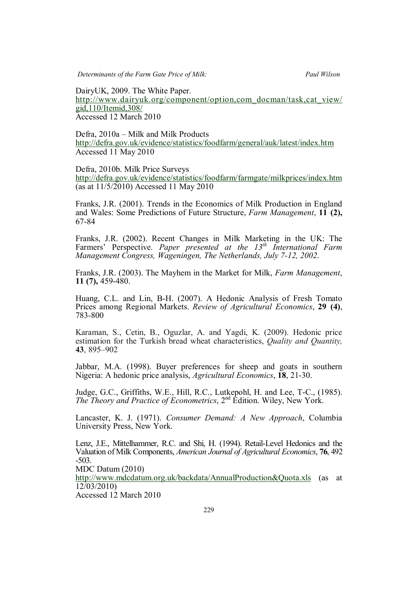DairyUK, 2009. The White Paper. http://www.dairyuk.org/component/option,com\_docman/task,cat\_view/ gid,110/Itemid,308/ Accessed 12 March 2010

Defra, 2010a – Milk and Milk Products http://defra.gov.uk/evidence/statistics/foodfarm/general/auk/latest/index.htm Accessed 11 May 2010

Defra, 2010b. Milk Price Surveys http://defra.gov.uk/evidence/statistics/foodfarm/farmgate/milkprices/index.htm (as at 11/5/2010) Accessed 11 May 2010

Franks, J.R. (2001). Trends in the Economics of Milk Production in England and Wales: Some Predictions of Future Structure, *Farm Management*, **11 (2),** 67-84

Franks, J.R. (2002). Recent Changes in Milk Marketing in the UK: The Farmers' Perspective. *Paper presented at the 13th International Farm Management Congress, Wageningen, The Netherlands, July 7-12, 2002*.

Franks, J.R. (2003). The Mayhem in the Market for Milk, *Farm Management*, **11 (7),** 459-480.

Huang, C.L. and Lin, B-H. (2007). A Hedonic Analysis of Fresh Tomato Prices among Regional Markets. *Review of Agricultural Economics*, **29 (4)**, 783-800

Karaman, S., Cetin, B., Oguzlar, A. and Yagdi, K. (2009). Hedonic price estimation for the Turkish bread wheat characteristics, *Quality and Quantity,* **43**, 895–902

Jabbar, M.A. (1998). Buyer preferences for sheep and goats in southern Nigeria: A hedonic price analysis, *Agricultural Economics*, **18**, 21-30.

Judge, G.C., Griffiths, W.E., Hill, R.C., Lutkepohl, H. and Lee, T-C., (1985). *The Theory and Practice of Econometrics*, 2<sup>nd</sup> Edition. Wiley, New York.

Lancaster, K. J. (1971). *Consumer Demand: A New Approach*, Columbia University Press, New York.

Lenz, J.E., Mittelhammer, R.C. and Shi, H. (1994). Retail-Level Hedonics and the Valuation of Milk Components, *American Journal of Agricultural Economics*, **76**, 492 -503.

MDC Datum (2010)

http://www.mdcdatum.org.uk/backdata/AnnualProduction&Quota.xls (as at 12/03/2010)

Accessed 12 March 2010